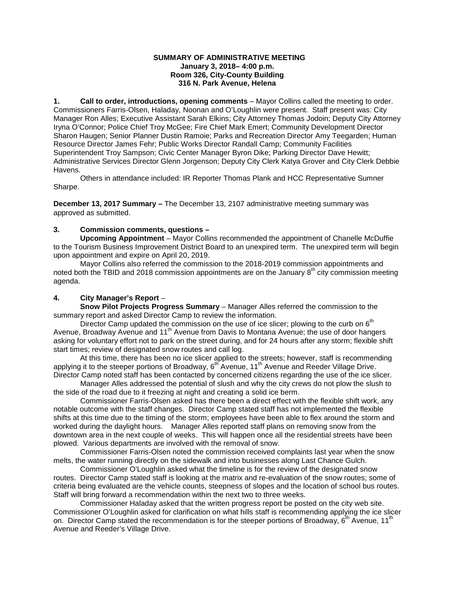## **SUMMARY OF ADMINISTRATIVE MEETING January 3, 2018– 4:00 p.m. Room 326, City-County Building 316 N. Park Avenue, Helena**

**1. Call to order, introductions, opening comments** – Mayor Collins called the meeting to order. Commissioners Farris-Olsen, Haladay, Noonan and O'Loughlin were present. Staff present was: City Manager Ron Alles; Executive Assistant Sarah Elkins; City Attorney Thomas Jodoin; Deputy City Attorney Iryna O'Connor; Police Chief Troy McGee; Fire Chief Mark Emert; Community Development Director Sharon Haugen; Senior Planner Dustin Ramoie; Parks and Recreation Director Amy Teegarden; Human Resource Director James Fehr; Public Works Director Randall Camp; Community Facilities Superintendent Troy Sampson; Civic Center Manager Byron Dike; Parking Director Dave Hewitt; Administrative Services Director Glenn Jorgenson; Deputy City Clerk Katya Grover and City Clerk Debbie Havens.

Others in attendance included: IR Reporter Thomas Plank and HCC Representative Sumner Sharpe.

**December 13, 2017 Summary –** The December 13, 2107 administrative meeting summary was approved as submitted.

## **3. Commission comments, questions –**

**Upcoming Appointment** – Mayor Collins recommended the appointment of Chanelle McDuffie to the Tourism Business Improvement District Board to an unexpired term. The unexpired term will begin upon appointment and expire on April 20, 2019.

Mayor Collins also referred the commission to the 2018-2019 commission appointments and noted both the TBID and 2018 commission appointments are on the January  $8<sup>th</sup>$  city commission meeting agenda.

## **4. City Manager's Report** –

**Snow Pilot Projects Progress Summary** – Manager Alles referred the commission to the summary report and asked Director Camp to review the information.

Director Camp updated the commission on the use of ice slicer; plowing to the curb on  $6<sup>th</sup>$ Avenue, Broadway Avenue and 11<sup>th</sup> Avenue from Davis to Montana Avenue; the use of door hangers asking for voluntary effort not to park on the street during, and for 24 hours after any storm; flexible shift start times; review of designated snow routes and call log.

At this time, there has been no ice slicer applied to the streets; however, staff is recommending applying it to the steeper portions of Broadway, 6<sup>th</sup> Avenue, 11<sup>th</sup> Avenue and Reeder Village Drive. Director Camp noted staff has been contacted by concerned citizens regarding the use of the ice slicer.

Manager Alles addressed the potential of slush and why the city crews do not plow the slush to the side of the road due to it freezing at night and creating a solid ice berm.

Commissioner Farris-Olsen asked has there been a direct effect with the flexible shift work, any notable outcome with the staff changes. Director Camp stated staff has not implemented the flexible shifts at this time due to the timing of the storm; employees have been able to flex around the storm and worked during the daylight hours. Manager Alles reported staff plans on removing snow from the downtown area in the next couple of weeks. This will happen once all the residential streets have been plowed. Various departments are involved with the removal of snow.

Commissioner Farris-Olsen noted the commission received complaints last year when the snow melts, the water running directly on the sidewalk and into businesses along Last Chance Gulch.

Commissioner O'Loughlin asked what the timeline is for the review of the designated snow routes. Director Camp stated staff is looking at the matrix and re-evaluation of the snow routes; some of criteria being evaluated are the vehicle counts, steepness of slopes and the location of school bus routes. Staff will bring forward a recommendation within the next two to three weeks.

Commissioner Haladay asked that the written progress report be posted on the city web site. Commissioner O'Loughlin asked for clarification on what hills staff is recommending applying the ice slicer on. Director Camp stated the recommendation is for the steeper portions of Broadway,  $6^{th}$  Avenue, 11<sup>th</sup> Avenue and Reeder's Village Drive.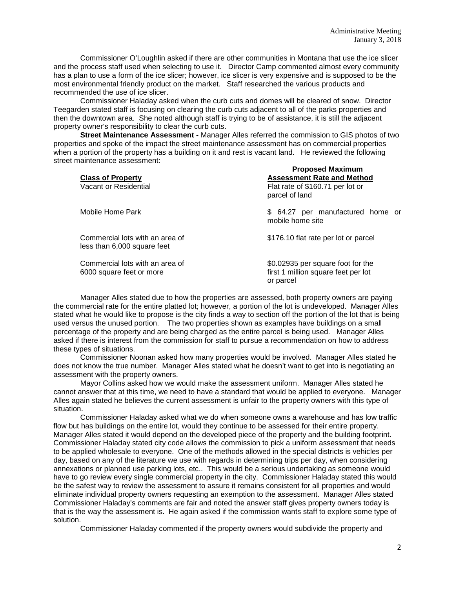Commissioner O'Loughlin asked if there are other communities in Montana that use the ice slicer and the process staff used when selecting to use it. Director Camp commented almost every community has a plan to use a form of the ice slicer; however, ice slicer is very expensive and is supposed to be the most environmental friendly product on the market. Staff researched the various products and recommended the use of ice slicer.

Commissioner Haladay asked when the curb cuts and domes will be cleared of snow. Director Teegarden stated staff is focusing on clearing the curb cuts adjacent to all of the parks properties and then the downtown area. She noted although staff is trying to be of assistance, it is still the adjacent property owner's responsibility to clear the curb cuts.

**Street Maintenance Assessment -** Manager Alles referred the commission to GIS photos of two properties and spoke of the impact the street maintenance assessment has on commercial properties when a portion of the property has a building on it and rest is vacant land. He reviewed the following street maintenance assessment: **Proposed Maximum**

| <b>Class of Property</b><br>Vacant or Residential              | Proposed Maximum<br><b>Assessment Rate and Method</b><br>Flat rate of \$160.71 per lot or<br>parcel of land |
|----------------------------------------------------------------|-------------------------------------------------------------------------------------------------------------|
| Mobile Home Park                                               | \$ 64.27 per manufactured home or<br>mobile home site                                                       |
| Commercial lots with an area of<br>less than 6,000 square feet | \$176.10 flat rate per lot or parcel                                                                        |
| Commercial lots with an area of<br>6000 square feet or more    | \$0.02935 per square foot for the<br>first 1 million square feet per lot<br>or parcel                       |

Manager Alles stated due to how the properties are assessed, both property owners are paying the commercial rate for the entire platted lot; however, a portion of the lot is undeveloped. Manager Alles stated what he would like to propose is the city finds a way to section off the portion of the lot that is being used versus the unused portion. The two properties shown as examples have buildings on a small percentage of the property and are being charged as the entire parcel is being used. Manager Alles asked if there is interest from the commission for staff to pursue a recommendation on how to address these types of situations.

Commissioner Noonan asked how many properties would be involved. Manager Alles stated he does not know the true number. Manager Alles stated what he doesn't want to get into is negotiating an assessment with the property owners.

Mayor Collins asked how we would make the assessment uniform. Manager Alles stated he cannot answer that at this time, we need to have a standard that would be applied to everyone. Manager Alles again stated he believes the current assessment is unfair to the property owners with this type of situation.

Commissioner Haladay asked what we do when someone owns a warehouse and has low traffic flow but has buildings on the entire lot, would they continue to be assessed for their entire property. Manager Alles stated it would depend on the developed piece of the property and the building footprint. Commissioner Haladay stated city code allows the commission to pick a uniform assessment that needs to be applied wholesale to everyone. One of the methods allowed in the special districts is vehicles per day, based on any of the literature we use with regards in determining trips per day, when considering annexations or planned use parking lots, etc.. This would be a serious undertaking as someone would have to go review every single commercial property in the city. Commissioner Haladay stated this would be the safest way to review the assessment to assure it remains consistent for all properties and would eliminate individual property owners requesting an exemption to the assessment. Manager Alles stated Commissioner Haladay's comments are fair and noted the answer staff gives property owners today is that is the way the assessment is. He again asked if the commission wants staff to explore some type of solution.

Commissioner Haladay commented if the property owners would subdivide the property and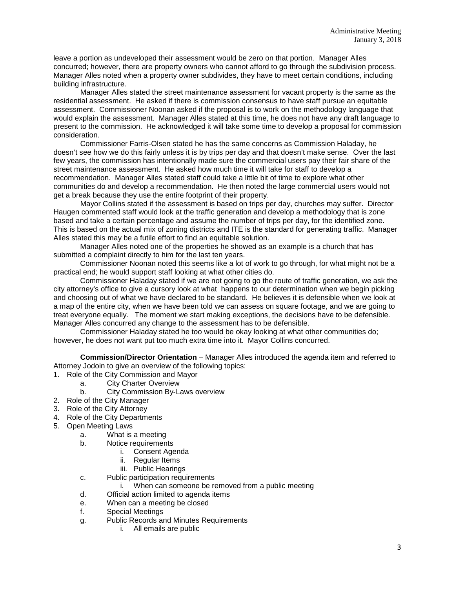leave a portion as undeveloped their assessment would be zero on that portion. Manager Alles concurred; however, there are property owners who cannot afford to go through the subdivision process. Manager Alles noted when a property owner subdivides, they have to meet certain conditions, including building infrastructure.

Manager Alles stated the street maintenance assessment for vacant property is the same as the residential assessment. He asked if there is commission consensus to have staff pursue an equitable assessment. Commissioner Noonan asked if the proposal is to work on the methodology language that would explain the assessment. Manager Alles stated at this time, he does not have any draft language to present to the commission. He acknowledged it will take some time to develop a proposal for commission consideration.

Commissioner Farris-Olsen stated he has the same concerns as Commission Haladay, he doesn't see how we do this fairly unless it is by trips per day and that doesn't make sense. Over the last few years, the commission has intentionally made sure the commercial users pay their fair share of the street maintenance assessment. He asked how much time it will take for staff to develop a recommendation. Manager Alles stated staff could take a little bit of time to explore what other communities do and develop a recommendation. He then noted the large commercial users would not get a break because they use the entire footprint of their property.

Mayor Collins stated if the assessment is based on trips per day, churches may suffer. Director Haugen commented staff would look at the traffic generation and develop a methodology that is zone based and take a certain percentage and assume the number of trips per day, for the identified zone. This is based on the actual mix of zoning districts and ITE is the standard for generating traffic. Manager Alles stated this may be a futile effort to find an equitable solution.

Manager Alles noted one of the properties he showed as an example is a church that has submitted a complaint directly to him for the last ten years.

Commissioner Noonan noted this seems like a lot of work to go through, for what might not be a practical end; he would support staff looking at what other cities do.

Commissioner Haladay stated if we are not going to go the route of traffic generation, we ask the city attorney's office to give a cursory look at what happens to our determination when we begin picking and choosing out of what we have declared to be standard. He believes it is defensible when we look at a map of the entire city, when we have been told we can assess on square footage, and we are going to treat everyone equally. The moment we start making exceptions, the decisions have to be defensible. Manager Alles concurred any change to the assessment has to be defensible.

Commissioner Haladay stated he too would be okay looking at what other communities do; however, he does not want put too much extra time into it. Mayor Collins concurred.

**Commission/Director Orientation** – Manager Alles introduced the agenda item and referred to Attorney Jodoin to give an overview of the following topics:

- 1. Role of the City Commission and Mayor
	- a. City Charter Overview
	- b. City Commission By-Laws overview
- 2. Role of the City Manager
- 3. Role of the City Attorney
- 4. Role of the City Departments
- 5. Open Meeting Laws
	- a. What is a meeting
	- b. Notice requirements
		- i. Consent Agenda
		- ii. Regular Items
		- iii. Public Hearings
	- c. Public participation requirements
		- i. When can someone be removed from a public meeting
	- d. Official action limited to agenda items
	- e. When can a meeting be closed
	- f. Special Meetings
	- g. Public Records and Minutes Requirements
		- i. All emails are public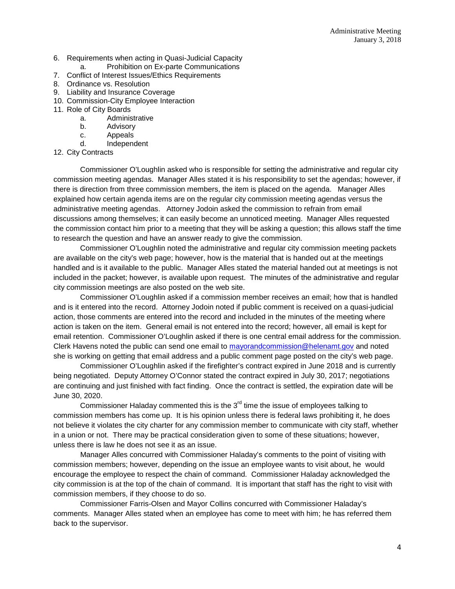- 6. Requirements when acting in Quasi-Judicial Capacity
	- a. Prohibition on Ex-parte Communications
- 7. Conflict of Interest Issues/Ethics Requirements
- 8. Ordinance vs. Resolution
- 9. Liability and Insurance Coverage
- 10. Commission-City Employee Interaction
- 11. Role of City Boards
	- a. Administrative
	- b. Advisory
	- c. Appeals
	- d. Independent
- 12. City Contracts

Commissioner O'Loughlin asked who is responsible for setting the administrative and regular city commission meeting agendas. Manager Alles stated it is his responsibility to set the agendas; however, if there is direction from three commission members, the item is placed on the agenda. Manager Alles explained how certain agenda items are on the regular city commission meeting agendas versus the administrative meeting agendas. Attorney Jodoin asked the commission to refrain from email discussions among themselves; it can easily become an unnoticed meeting. Manager Alles requested the commission contact him prior to a meeting that they will be asking a question; this allows staff the time to research the question and have an answer ready to give the commission.

Commissioner O'Loughlin noted the administrative and regular city commission meeting packets are available on the city's web page; however, how is the material that is handed out at the meetings handled and is it available to the public. Manager Alles stated the material handed out at meetings is not included in the packet; however, is available upon request. The minutes of the administrative and regular city commission meetings are also posted on the web site.

Commissioner O'Loughlin asked if a commission member receives an email; how that is handled and is it entered into the record. Attorney Jodoin noted if public comment is received on a quasi-judicial action, those comments are entered into the record and included in the minutes of the meeting where action is taken on the item. General email is not entered into the record; however, all email is kept for email retention. Commissioner O'Loughlin asked if there is one central email address for the commission. Clerk Havens noted the public can send one email to [mayorandcommission@helenamt.gov](mailto:mayorandcommission@helenamt.gov) and noted she is working on getting that email address and a public comment page posted on the city's web page.

Commissioner O'Loughlin asked if the firefighter's contract expired in June 2018 and is currently being negotiated. Deputy Attorney O'Connor stated the contract expired in July 30, 2017; negotiations are continuing and just finished with fact finding. Once the contract is settled, the expiration date will be June 30, 2020.

Commissioner Haladay commented this is the  $3<sup>rd</sup>$  time the issue of employees talking to commission members has come up. It is his opinion unless there is federal laws prohibiting it, he does not believe it violates the city charter for any commission member to communicate with city staff, whether in a union or not. There may be practical consideration given to some of these situations; however, unless there is law he does not see it as an issue.

Manager Alles concurred with Commissioner Haladay's comments to the point of visiting with commission members; however, depending on the issue an employee wants to visit about, he would encourage the employee to respect the chain of command. Commissioner Haladay acknowledged the city commission is at the top of the chain of command. It is important that staff has the right to visit with commission members, if they choose to do so.

Commissioner Farris-Olsen and Mayor Collins concurred with Commissioner Haladay's comments. Manager Alles stated when an employee has come to meet with him; he has referred them back to the supervisor.